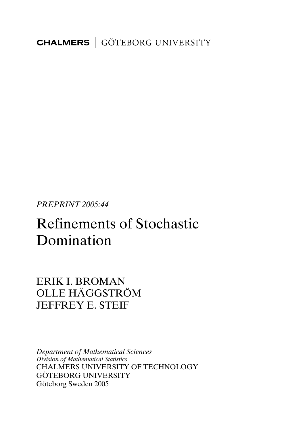**CHALMERS** GÖTEBORG UNIVERSITY

*PREPRINT 2005:44* 

# Refinements of Stochastic Domination

ERIK I. BROMAN OLLE HÄGGSTRÖM JEFFREY E. STEIF

*Department of Mathematical Sciences Division of Mathematical Statistics*  CHALMERS UNIVERSITY OF TECHNOLOGY GÖTEBORG UNIVERSITY Göteborg Sweden 2005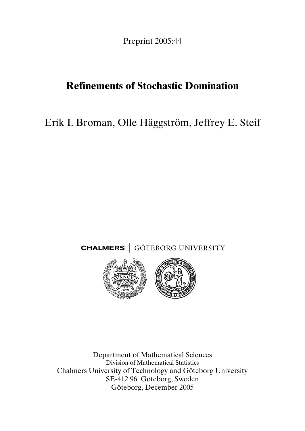Preprint 2005:44

## **Refinements of Stochastic Domination**

Erik I. Broman, Olle Häggström, Jeffrey E. Steif





Department of Mathematical Sciences Division of Mathematical Statistics Chalmers University of Technology and Göteborg University SE-412 96 Göteborg, Sweden Göteborg, December 2005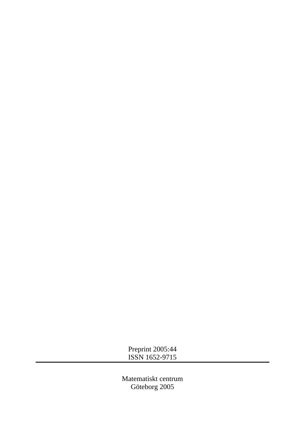Preprint 2005:44 ISSN 1652-9715

Matematiskt centrum Göteborg 2005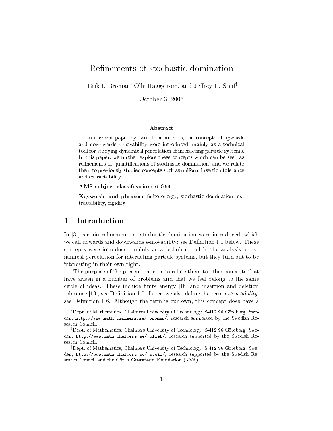## Refinements of stochastic domination

Erik I. Broman,\* Olle Häggström,† and Jeffrey E. Steif<sup>‡</sup>

October 3, 2005

#### Abstract

In a recent paper by two of the authors, the concepts of upwards and downwards  $\epsilon$ -movability were introduced, mainly as a technical tool for studying dynamical percolation of interacting particle systems. In this paper, we further explore these concepts which can be seen as refinements or quantifications of stochastic domination, and we relate them to previously studied concepts such as uniform insertion tolerance and extractability.

AMS subject classification: 60G99.

Keywords and phrases: finite energy, stochastic domination, extractability, rigidity

#### 1 Introduction

In  $|3|$ , certain refinements of stochastic domination were introduced, which we call upwards and downwards  $\epsilon$ -movability; see Definition 1.1 below. These concepts were introduced mainly as a technical tool in the analysis of dynamical percolation for interacting particle systems, but they turn out to be interesting in their own right.

The purpose of the present paper is to relate them to other concepts that have arisen in a number of problems and that we feel belong to the same circle of ideas. These include finite energy [16] and insertion and deletion tolerance [13]; see Definition 1.5. Later, we also define the term *extractability*; see Definition 1.6. Although the term is our own, this concept does have a

<sup>\*</sup>Dept. of Mathematics, Chalmers University of Technology, S-412 96 Göteborg, Sweden, http://www.math.chalmers.se/"broman/, research supported by the Swedish Research Council.

<sup>&</sup>lt;sup>†</sup>Dept. of Mathematics, Chalmers University of Technology, S-412 96 Göteborg, Sweden, http://www.math.chalmers.se/"olleh/, research supported by the Swedish Research Council.

<sup>&</sup>lt;sup>‡</sup>Dept. of Mathematics, Chalmers University of Technology, S-412 96 Göteborg, Sweden, http://www.math.chalmers.se/"steif/, research supported by the Swedish Research Council and the Göran Gustafsson Foundation (KVA).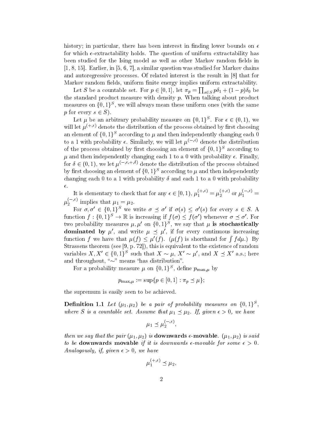history; in particular, there has been interest in finding lower bounds on  $\epsilon$ for which  $\epsilon$ -extractability holds. The question of uniform extractability has been studied for the Ising model as well as other Markov random fields in  $[1, 8, 15]$ . Earlier, in [5, 6, 7], a similar question was studied for Markov chains and autoregressive processes. Of related interest is the result in [8] that for Markov random fields, uniform finite energy implies uniform extractability.

Let S be a countable set. For  $p \in [0,1]$ , let  $\pi_p = \prod_{s \in S} p\delta_1 + (1-p)\delta_0$  be the standard product measure with density  $p$ . When talking about product measures on  $\{0,1\}^S$ , we will always mean these uniform ones (with the same p for every  $s \in S$ ).

Let  $\mu$  be an arbitrary probability measure on  $\{0,1\}^S$ . For  $\epsilon \in (0,1)$ , we will let  $\mu^{(+,\epsilon)}$  denote the distribution of the process obtained by first choosing an element of  $\{0,1\}^S$  according to  $\mu$  and then independently changing each  $0$ to a 1 with probability  $\epsilon$ . Similarly, we will let  $\mu^{(-,\epsilon)}$  denote the distribution of the process obtained by first choosing an element of  $\{0,1\}^S$  according to  $\mu$  and then independently changing each 1 to a 0 with probability  $\epsilon$ . Finally, for  $\delta \in (0, 1)$ , we let  $\mu^{(-,\epsilon, +,\delta)}$  denote the distribution of the process obtained by first choosing an element of  $\{0,1\}^S$  according to  $\mu$  and then independently changing each 0 to a 1 with probability  $\delta$  and each 1 to a 0 with probability  $\epsilon$  .

It is elementary to check that for any  $\epsilon \in [0,1)$ ,  $\mu_1^{(+,\epsilon)} = \mu_2^{(+,\epsilon)}$  or  $\mu_1^{(-,\epsilon)} =$ 

 $\mu_2^{(-,\epsilon)}$  implies that  $\mu_1 = \mu_2$ .<br>For  $\sigma, \sigma' \in \{0,1\}^S$  we write  $\sigma \preceq \sigma'$  if  $\sigma(s) \leq \sigma'(s)$  for every  $s \in S$ . A function  $f: \{0,1\}^S \to \mathbb{R}$  is increasing if  $f(\sigma) \leq f(\sigma')$  whenever  $\sigma \prec \sigma'$ . For two probability measures  $\mu$ ,  $\mu'$  on  $\{0,1\}^S$ , we say that  $\mu$  is stochastically **dominated by**  $\mu'$ , and write  $\mu \preceq \mu'$ , if for every continuous increasing function f we have that  $\mu(f) \leq \mu'(f)$ .  $(\mu(f)$  is shorthand for  $\int f d\mu$ .) By Strassens theorem (see [9, p. 72]), this is equivalent to the existence of random variables  $X, X' \in \{0,1\}^S$  such that  $X \sim \mu$ ,  $X' \sim \mu'$ , and  $X \preceq X'$  a.s.; here and throughout, " $\sim$ " means "has distribution".

For a probability measure  $\mu$  on  $\{0,1\}^S$ , define  $p_{\max,\mu}$  by

$$
p_{\max,\mu} := \sup\{p \in [0,1] : \pi_p \le \mu\};
$$

the supremum is easily seen to be achieved.

**Definition 1.1** Let  $(\mu_1, \mu_2)$  be a pair of probability measures on  $\{0, 1\}^S$ . where S is a countable set. Assume that  $\mu_1 \preceq \mu_2$ . If, given  $\epsilon > 0$ , we have

$$
\mu_1 \preceq \mu_2^{(-,\epsilon)},
$$

then we say that the pair  $(\mu_1, \mu_2)$  is **downwards**  $\epsilon$ -movable.  $(\mu_1, \mu_2)$  is said to be downwards movable if it is downwards  $\epsilon$ -movable for some  $\epsilon > 0$ . Analogously, if, given  $\epsilon > 0$ , we have

$$
u_1^{(+,\epsilon)} \preceq \mu_2
$$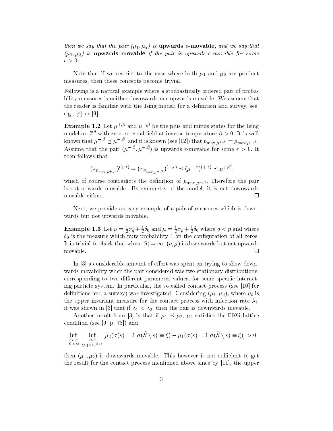then we say that the pair  $(\mu_1, \mu_2)$  is **upwards**  $\epsilon$ -movable, and we say that  $(\mu_1, \mu_2)$  is upwards movable if the pair is upwards  $\epsilon$ -movable for some  $\epsilon > 0$ .

Note that if we restrict to the case where both  $\mu_1$  and  $\mu_2$  are product measures, then these concepts become trivial.

Following is a natural example where a stochastically ordered pair of probability measures is neither downwards nor upwards movable. We assume that the reader is familiar with the Ising model; for a definition and survey, see. e.g., [4] or [9].

**Example 1.2** Let  $\mu^{+,\beta}$  and  $\mu^{-,\beta}$  be the plus and minus states for the Ising model on  $\mathbb{Z}^d$  with zero external field at inverse temperature  $\beta > 0$ . It is well known that  $\mu^{-,\beta} \preceq \mu^{+,\beta}$ , and it is known (see [12]) that  $p_{\max,\mu^{+,\beta}} = p_{\max,\mu^{-,\beta}}$ . Assume that the pair  $(\mu^{-,\beta}, \mu^{+,\beta})$  is upwards  $\epsilon$ -movable for some  $\epsilon > 0$ . It then follows that

$$
(\pi_{p_{\max,\mu^+,\beta}})^{(+,\epsilon)}=(\pi_{p_{\max,\mu^-,\beta}})^{(+,\epsilon)}\preceq(\mu^{-,\beta})^{(+,\epsilon)}\preceq\mu^{+,\beta},
$$

which of course contradicts the definition of  $p_{\max,\mu^{+, \beta}}$ . Therefore the pair is not upwards movable. By symmetry of the model, it is not downwards movable either.  $\Box$ 

Next, we provide an easy example of a pair of measures which is downwards but not upwards movable.

**Example 1.3** Let  $\nu = \frac{1}{2}\pi q + \frac{1}{2}\delta_0$  and  $\mu = \frac{1}{2}\pi p + \frac{1}{2}\delta_0$  where  $q < p$  and where  $\delta_0$  is the measure which puts probability 1 on the configuration of all zeros. It is trivial to check that when  $|S| = \infty$ ,  $(\nu, \mu)$  is downwards but not upwards movable.  $\Box$ 

In  $\lceil 3 \rceil$  a considerable amount of effort was spent on trying to show downwards movability when the pair considered was two stationary distributions. corresponding to two different parameter values, for some specific interacting particle system. In particular, the so called contact process (see [10] for definitions and a survey) was investigated. Considering  $(\mu_1, \mu_2)$ , where  $\mu_i$  is the upper invariant measure for the contact process with infection rate  $\lambda_i$ , it was shown in [3] that if  $\lambda_1 < \lambda_2$ , then the pair is downwards movable.

Another result from [3] is that if  $\mu_1 \preceq \mu_2$ ,  $\mu_2$  satisfies the FKG lattice condition (see [9, p. 78]) and

$$
\inf_{\substack{\tilde{S}\subset S\\|\tilde{S}|<\infty}}\inf_{\substack{s\in \tilde{S}\\s\in \{0,1\}^{\tilde{S}}\setminus s}}\left[\mu_2(\sigma(s)=1 | \sigma(\tilde{S}\setminus s)\equiv \xi) - \mu_1(\sigma(s)=1 | \sigma(\tilde{S}\setminus s)\equiv \xi)\right] > 0
$$

then  $(\mu_1, \mu_2)$  is downwards movable. This however is not sufficient to get the result for the contact process mentioned above since by  $[11]$ , the upper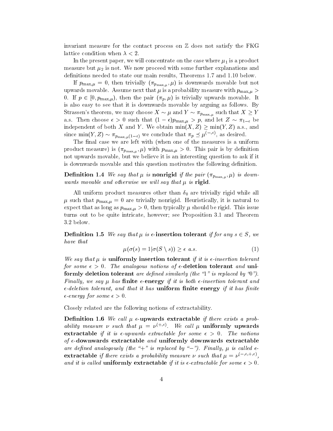invariant measure for the contact process on  $\mathbb Z$  does not satisfy the FKG lattice condition when  $\lambda < 2$ .

In the present paper, we will concentrate on the case where  $\mu_1$  is a product measure but  $\mu_2$  is not. We now proceed with some further explanations and definitions needed to state our main results, Theorems 1.7 and 1.10 below.

If  $p_{\max,\mu} = 0$ , then trivially  $(\pi_{p_{\max,\mu}}, \mu)$  is downwards movable but not upwards movable. Assume next that  $\mu$  is a probability measure with  $p_{\max,\mu}$ 0. If  $p \in [0, p_{\max,\mu})$ , then the pair  $(\pi_p, \mu)$  is trivially upwards movable. It is also easy to see that it is downwards movable by arguing as follows. By Strassen's theorem, we may choose  $X \sim \mu$  and  $Y \sim \pi_{p_{\max,\mu}}$  such that  $X \geq Y$ a.s. Then choose  $\epsilon > 0$  such that  $(1 - \epsilon)p_{\max,\mu} > p$ , and let  $Z \sim \pi_{1-\epsilon}$  be independent of both X and Y. We obtain  $min(X, Z) \geq min(Y, Z)$  a.s., and since  $\min(Y, Z) \sim \pi_{p_{\max,\mu}(1-\epsilon)}$  we conclude that  $\pi_p \preceq \mu^{(-,\epsilon)}$ , as desired.

The final case we are left with (when one of the measures is a uniform product measure) is  $(\pi_{p_{\max,\mu}}, \mu)$  with  $p_{\max,\mu} > 0$ . This pair is by definition not upwards movable, but we believe it is an interesting question to ask if it is downwards movable and this question motivates the following definition.

**Definition 1.4** We say that  $\mu$  is nonrigid if the pair  $(\pi_{p_{\max,\mu}}, \mu)$  is downwards movable and otherwise we will say that  $\mu$  is rigid.

All uniform product measures other than  $\delta_0$  are trivially rigid while all  $\mu$  such that  $p_{\max,\mu} = 0$  are trivially nonrigid. Heuristically, it is natural to expect that as long as  $p_{\text{max},\mu} > 0$ , then typically  $\mu$  should be rigid. This issue turns out to be quite intricate, however; see Proposition 3.1 and Theorem 3.2 below.

**Definition 1.5** We say that  $\mu$  is  $\epsilon$ -insertion tolerant if for any  $s \in S$ , we have that

$$
\mu(\sigma(s) = 1 | \sigma(S \setminus s)) \ge \epsilon \ a.s. \tag{1}
$$

We say that  $\mu$  is uniformly insertion tolerant if it is  $\epsilon$ -insertion tolerant for some  $\epsilon > 0$ . The analogous notions of  $\epsilon$ -deletion tolerant and uniformly deletion tolerant are defined similarly (the "1" is replaced by "0"). Finally, we say  $\mu$  has finite  $\epsilon$ -energy if it is both  $\epsilon$ -insertion tolerant and  $\epsilon$ -deletion tolerant, and that it has uniform finite energy if it has finite  $\epsilon$ -energy for some  $\epsilon > 0$ .

Closely related are the following notions of extractability.

**Definition 1.6** We call  $\mu$  e-upwards extractable if there exists a probability measure v such that  $\mu = \nu^{(+,\epsilon)}$ . We call  $\mu$  uniformly upwards extractable if it is  $\epsilon$ -upwards extractable for some  $\epsilon > 0$ . The notions of  $\epsilon$ -downwards extractable and uniformly downwards extractable are defined analogously (the "+" is replaced by "-"). Finally,  $\mu$  is called  $\epsilon$ extractable if there exists a probability measure  $\nu$  such that  $\mu = \nu^{(-,\epsilon, +,\epsilon)}$ , and it is called uniformly extractable if it is  $\epsilon$ -extractable for some  $\epsilon > 0$ .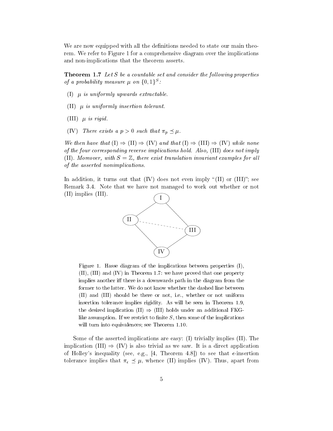We are now equipped with all the definitions needed to state our main theorem. We refer to Figure 1 for a comprehensive diagram over the implications and non-implications that the theorem asserts.

**Theorem 1.7** Let S be a countable set and consider the following properties of a probability measure  $\mu$  on  $\{0,1\}^S$ .

- (I)  $\mu$  is uniformly upwards extractable.
- $(II)$   $\mu$  is uniformly insertion tolerant.
- (III)  $\mu$  is rigid.
- (IV) There exists a  $p > 0$  such that  $\pi_p \preceq \mu$ .

We then have that  $(I) \Rightarrow (II) \Rightarrow (IV)$  and that  $(I) \Rightarrow (III) \Rightarrow (IV)$  while none of the four corresponding reverse implications hold. Also, (III) does not imply (II). Moreover, with  $S = \mathbb{Z}$ , there exist translation invariant examples for all of the asserted nonimplications.

In addition, it turns out that (IV) does not even imply "(II) or (III)"; see Remark 3.4. Note that we have not managed to work out whether or not  $(II)$  implies  $(III)$ .



Figure 1. Hasse diagram of the implications between properties (I),  $(II)$ ,  $(III)$  and  $(IV)$  in Theorem 1.7: we have proved that one property implies another iff there is a downwards path in the diagram from the former to the latter. We do not know whether the dashed line between (II) and (III) should be there or not, i.e., whether or not uniform insertion tolerance implies rigidity. As will be seen in Theorem 1.9, the desired implication (II)  $\Rightarrow$  (III) holds under an additional FKGlike assumption. If we restrict to finite  $S$ , then some of the implications will turn into equivalences; see Theorem 1.10.

Some of the asserted implications are easy:  $(I)$  trivially implies  $(II)$ . The implication (III)  $\Rightarrow$  (IV) is also trivial as we saw. It is a direct application of Holley's inequality (see, e.g., [4, Theorem 4.8]) to see that  $\epsilon$ -insertion tolerance implies that  $\pi_{\epsilon} \preceq \mu$ , whence (II) implies (IV). Thus, apart from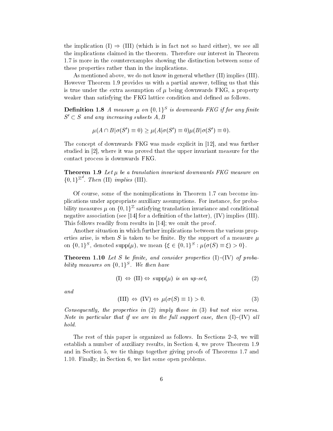the implication (I)  $\Rightarrow$  (III) (which is in fact not so hard either), we see all the implications claimed in the theorem. Therefore our interest in Theorem 1.7 is more in the counterexamples showing the distinction between some of these properties rather than in the implications.

As mentioned above, we do not know in general whether (II) implies (III). However Theorem 1.9 provides us with a partial answer, telling us that this is true under the extra assumption of  $\mu$  being downwards FKG, a property weaker than satisfying the FKG lattice condition and defined as follows.

**Definition 1.8** A measure  $\mu$  on  $\{0,1\}^S$  is downwards FKG if for any finite  $S' \subset S$  and any increasing subsets A, B

$$
\mu(A \cap B | \sigma(S') \equiv 0) \ge \mu(A | \sigma(S') \equiv 0) \mu(B | \sigma(S') \equiv 0).
$$

The concept of downwards FKG was made explicit in [12], and was further studied in [2], where it was proved that the upper invariant measure for the contact process is downwards FKG.

**Theorem 1.9** Let  $\mu$  be a translation invariant downwards FKG measure on  $\{0,1\}^{\mathbb{Z}^d}$ . Then (II) implies (III).

Of course, some of the nonimplications in Theorem 1.7 can become implications under appropriate auxiliary assumptions. For instance, for probability measures  $\mu$  on  $\{0,1\}^{\mathbb{Z}}$  satisfying translation invariance and conditional negative association (see [14] for a definition of the latter),  $(IV)$  implies  $(III)$ . This follows readily from results in  $|14|$ ; we omit the proof.

Another situation in which further implications between the various properties arise, is when S is taken to be finite. By the support of a measure  $\mu$ on  $\{0,1\}^S$ , denoted  $\text{supp}(\mu)$ , we mean  $\{\xi \in \{0,1\}^S : \mu(\sigma(S) \equiv \xi) > 0\}.$ 

**Theorem 1.10** Let S be finite, and consider properties  $(I)$ - $(IV)$  of probability measures on  $\{0,1\}^S$ . We then have

$$
(I) \Leftrightarrow (II) \Leftrightarrow \text{supp}(\mu) \text{ is an up-set}, \tag{2}
$$

 $and$ 

$$
(III) \Leftrightarrow (IV) \Leftrightarrow \mu(\sigma(S) \equiv 1) > 0. \tag{3}
$$

Consequently, the properties in  $(2)$  imply those in  $(3)$  but not vice versa. Note in particular that if we are in the full support case, then  $(I)$ - $(IV)$  all hold.

The rest of this paper is organized as follows. In Sections  $2-3$ , we will establish a number of auxiliary results, in Section 4, we prove Theorem 1.9 and in Section 5, we tie things together giving proofs of Theorems 1.7 and 1.10. Finally, in Section 6, we list some open problems.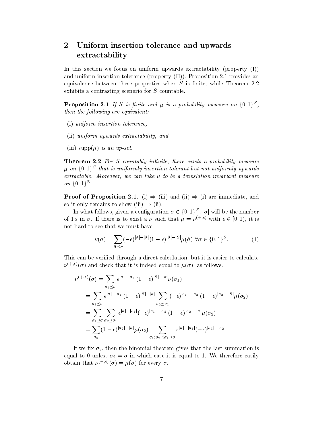#### $\overline{2}$ Uniform insertion tolerance and upwards  ${\rm extractability}$

In this section we focus on uniform upwards extractability (property  $(I)$ ) and uniform insertion tolerance (property  $(II)$ ). Proposition 2.1 provides an equivalence between these properties when  $S$  is finite, while Theorem 2.2 exhibits a contrasting scenario for  $S$  countable.

**Proposition 2.1** If S is finite and  $\mu$  is a probability measure on  $\{0,1\}^S$ , then the following are equivalent:

- (i) uniform insertion tolerance.
- (ii) uniform upwards extractability, and
- (iii)  $\text{supp}(\mu)$  is an up-set.

**Theorem 2.2** For S countably infinite, there exists a probability measure  $\mu$  on  $\{0,1\}^S$  that is uniformly insertion tolerant but not uniformly upwards extractable. Moreover, we can take  $\mu$  to be a translation invariant measure on  $\{0,1\}^{\mathbb{Z}}$ .

**Proof of Proposition 2.1.** (i)  $\Rightarrow$  (iii) and (ii)  $\Rightarrow$  (i) are immediate, and so it only remains to show (iii)  $\Rightarrow$  (ii).

In what follows, given a configuration  $\sigma \in \{0,1\}^S$ ,  $|\sigma|$  will be the number of 1's in  $\sigma$ . If there is to exist a  $\nu$  such that  $\mu = \nu^{(+,\epsilon)}$  with  $\epsilon \in [0,1)$ , it is not hard to see that we must have

$$
\nu(\sigma) = \sum_{\tilde{\sigma} \preceq \sigma} (-\epsilon)^{|\sigma| - |\tilde{\sigma}|} (1 - \epsilon)^{|\tilde{\sigma}| - |S|} \mu(\tilde{\sigma}) \,\forall \sigma \in \{0, 1\}^S. \tag{4}
$$

This can be verified through a direct calculation, but it is easier to calculate  $\nu^{(+,\epsilon)}(\sigma)$  and check that it is indeed equal to  $\mu(\sigma)$ , as follows.

$$
\nu^{(+,\epsilon)}(\sigma) = \sum_{\sigma_1 \preceq \sigma} \epsilon^{|\sigma| - |\sigma_1|} (1 - \epsilon)^{|S| - |\sigma|} \nu(\sigma_1)
$$
  
\n
$$
= \sum_{\sigma_1 \preceq \sigma} \epsilon^{|\sigma| - |\sigma_1|} (1 - \epsilon)^{|S| - |\sigma|} \sum_{\sigma_2 \preceq \sigma_1} (-\epsilon)^{|\sigma_1| - |\sigma_2|} (1 - \epsilon)^{|\sigma_2| - |S|} \mu(\sigma_2)
$$
  
\n
$$
= \sum_{\sigma_1 \preceq \sigma} \sum_{\sigma_2 \preceq \sigma_1} \epsilon^{|\sigma| - |\sigma_1|} (-\epsilon)^{|\sigma_1| - |\sigma_2|} (1 - \epsilon)^{|\sigma_2| - |\sigma|} \mu(\sigma_2)
$$
  
\n
$$
= \sum_{\sigma_2} (1 - \epsilon)^{|\sigma_2| - |\sigma|} \mu(\sigma_2) \sum_{\sigma_1 : \sigma_2 \preceq \sigma_1 \preceq \sigma} \epsilon^{|\sigma| - |\sigma_1|} (-\epsilon)^{|\sigma_1| - |\sigma_2|}.
$$

If we fix  $\sigma_2$ , then the binomial theorem gives that the last summation is equal to 0 unless  $\sigma_2 = \sigma$  in which case it is equal to 1. We therefore easily obtain that  $\nu^{(+,\epsilon)}(\sigma) = \mu(\sigma)$  for every  $\sigma$ .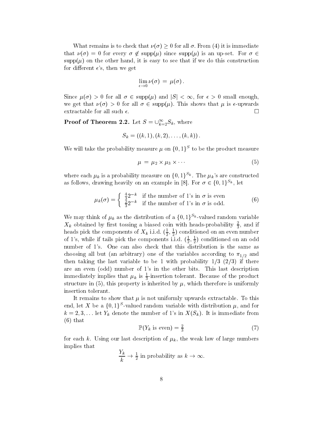What remains is to check that  $\nu(\sigma) \geq 0$  for all  $\sigma$ . From (4) it is immediate that  $\nu(\sigma) = 0$  for every  $\sigma \notin \text{supp}(\mu)$  since  $\text{supp}(\mu)$  is an up-set. For  $\sigma \in$  $\text{supp}(\mu)$  on the other hand, it is easy to see that if we do this construction for different  $\epsilon$ 's, then we get

$$
\lim_{\epsilon \to 0} \nu(\sigma) = \mu(\sigma).
$$

Since  $\mu(\sigma) > 0$  for all  $\sigma \in \text{supp}(\mu)$  and  $|S| < \infty$ , for  $\epsilon > 0$  small enough, we get that  $\nu(\sigma) > 0$  for all  $\sigma \in \text{supp}(\mu)$ . This shows that  $\mu$  is  $\epsilon$ -upwards extractable for all such  $\epsilon$ .  $\Box$ 

**Proof of Theorem 2.2.** Let  $S = \bigcup_{k=2}^{\infty} S_k$ , where

$$
S_k = ((k, 1), (k, 2), \ldots, (k, k)).
$$

We will take the probability measure  $\mu$  on  $\{0,1\}^S$  to be the product measure

$$
\mu = \mu_2 \times \mu_3 \times \cdots \tag{5}
$$

where each  $\mu_k$  is a probability measure on  $\{0,1\}^{S_k}$ . The  $\mu_k$ 's are constructed as follows, drawing heavily on an example in [8]. For  $\sigma \in \{0,1\}^{S_k}$ , let

$$
\mu_k(\sigma) = \begin{cases} \frac{4}{3}2^{-k} & \text{if the number of 1's in } \sigma \text{ is even} \\ \frac{2}{3}2^{-k} & \text{if the number of 1's in } \sigma \text{ is odd.} \end{cases}
$$
 (6)

We may think of  $\mu_k$  as the distribution of a  $\{0,1\}^{S_k}$ -valued random variable  $X_k$  obtained by first tossing a biased coin with heads-probability  $\frac{2}{3}$ , and if heads pick the components of  $X_k$  i.i.d.  $(\frac{1}{2},\frac{1}{2})$  conditioned on an even number of 1's, while if tails pick the components i.i.d.  $(\frac{1}{2}, \frac{1}{2})$  conditioned on an odd number of 1's. One can also check that this distribution is the same as choosing all but (an arbitrary) one of the variables according to  $\pi_{1/2}$  and then taking the last variable to be 1 with probability  $1/3$  ( $2/3$ ) if there are an even (odd) number of 1's in the other bits. This last description immediately implies that  $\mu_k$  is  $\frac{1}{3}$ -insertion tolerant. Because of the product structure in (5), this property is inherited by  $\mu$ , which therefore is uniformly insertion tolerant

It remains to show that  $\mu$  is not uniformly upwards extractable. To this end, let X be a  $\{0,1\}^S$ -valued random variable with distribution  $\mu$ , and for  $k=2,3,...$  let  $Y_k$  denote the number of 1's in  $X(S_k)$ . It is immediate from  $(6)$  that

$$
\mathbb{P}(Y_k \text{ is even}) = \frac{2}{3} \tag{7}
$$

for each k. Using our last description of  $\mu_k$ , the weak law of large numbers implies that

$$
\frac{Y_k}{k} \to \frac{1}{2}
$$
 in probability as  $k \to \infty$ .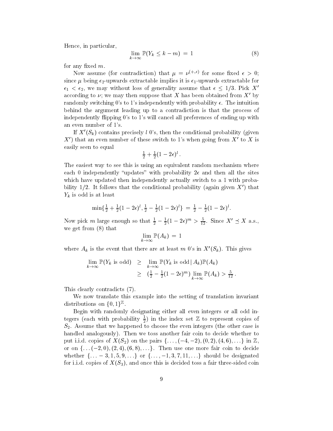Hence, in particular,

$$
\lim_{k \to \infty} \mathbb{P}(Y_k \le k - m) = 1 \tag{8}
$$

for any fixed  $m$ .

Now assume (for contradiction) that  $\mu = \nu^{(+,\epsilon)}$  for some fixed  $\epsilon > 0$ ; since  $\mu$  being  $\epsilon_2$ -upwards extractable implies it is  $\epsilon_1$ -upwards extractable for  $\epsilon_1 < \epsilon_2$ , we may without loss of generality assume that  $\epsilon \leq 1/3$ . Pick X' according to  $\nu$ ; we may then suppose that X has been obtained from X' by randomly switching 0's to 1's independently with probability  $\epsilon$ . The intuition behind the argument leading up to a contradiction is that the process of independently flipping 0's to 1's will cancel all preferences of ending up with an even number of 1's.

If  $X'(S_k)$  contains precisely l 0's, then the conditional probability (given  $X'$  that an even number of these switch to 1's when going from  $X'$  to X is easily seen to equal

$$
\tfrac{1}{2} + \tfrac{1}{2}(1-2\epsilon)^l
$$

The easiest way to see this is using an equivalent random mechanism where each 0 independently "updates" with probability  $2\epsilon$  and then all the sites which have updated then independently actually switch to a 1 with probability  $1/2$ . It follows that the conditional probability (again given X') that  $Y_k$  is odd is at least

$$
\min\{\tfrac{1}{2} + \tfrac{1}{2}(1-2\epsilon)^l, \tfrac{1}{2} - \tfrac{1}{2}(1-2\epsilon)^l\} = \tfrac{1}{2} - \tfrac{1}{2}(1-2\epsilon)^l.
$$

Now pick m large enough so that  $\frac{1}{2} - \frac{1}{2}(1 - 2\epsilon)^m > \frac{5}{12}$ . Since  $X' \preceq X$  a.s., we get from  $(8)$  that

$$
\lim_{k\to\infty}\mathbb{P}(A_k)\,=\,1
$$

where  $A_k$  is the event that there are at least m 0's in  $X'(S_k)$ . This gives

$$
\lim_{k \to \infty} \mathbb{P}(Y_k \text{ is odd}) \geq \lim_{k \to \infty} \mathbb{P}(Y_k \text{ is odd} | A_k) \mathbb{P}(A_k)
$$
  
 
$$
\geq (\frac{1}{2} - \frac{1}{2}(1 - 2\epsilon)^m) \lim_{k \to \infty} \mathbb{P}(A_k) > \frac{5}{12}
$$

This clearly contradicts (7).

We now translate this example into the setting of translation invariant distributions on  $\{0, 1\}^{\mathbb{Z}}$ .

Begin with randomly designating either all even integers or all odd integers (each with probability  $\frac{1}{2}$ ) in the index set Z to represent copies of  $S_2$ . Assume that we happened to choose the even integers (the other case is handled analogously). Then we toss another fair coin to decide whether to put i.i.d. copies of  $X(S_2)$  on the pairs  $\{\ldots, (-4, -2), (0, 2), (4, 6), \ldots\}$  in  $\mathbb{Z}$ , or on  $\{ \ldots (-2,0), (2,4), (6,8), \ldots \}$ . Then use one more fair coin to decide whether  $\{ \ldots -3, 1, 5, 9, \ldots \}$  or  $\{ \ldots, -1, 3, 7, 11, \ldots \}$  should be designated for i.i.d. copies of  $X(S_3)$ , and once this is decided toss a fair three-sided coin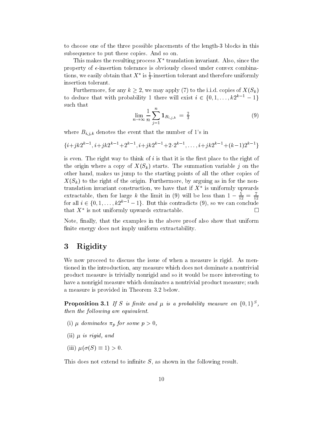to choose one of the three possible placements of the length-3 blocks in this subsequence to put these copies. And so on.

This makes the resulting process  $X^*$  translation invariant. Also, since the property of  $\epsilon$ -insertion tolerance is obviously closed under convex combinations, we easily obtain that  $X^*$  is  $\frac{1}{3}$ -insertion tolerant and therefore uniformly insertion tolerant.

Furthermore, for any  $k \geq 2$ , we may apply (7) to the i.i.d. copies of  $X(S_k)$ to deduce that with probability 1 there will exist  $i \in \{0, 1, ..., k2^{k-1} - 1\}$ such that

$$
\lim_{n \to \infty} \frac{1}{n} \sum_{j=1}^{n} \mathbf{1}_{B_{i,j,k}} = \frac{2}{3}
$$
 (9)

where  $B_{i,j,k}$  denotes the event that the number of 1's in

$$
\{i+jk2^{k-1}, i+jk2^{k-1}+2^{k-1}, i+jk2^{k-1}+2 \cdot 2^{k-1}, \ldots, i+jk2^{k-1}+(k-1)2^{k-1}\}
$$

is even. The right way to think of  $i$  is that it is the first place to the right of the origin where a copy of  $X(S_k)$  starts. The summation variable j on the other hand, makes us jump to the starting points of all the other copies of  $X(S_k)$  to the right of the origin. Furthermore, by arguing as in for the nontranslation invariant construction, we have that if  $X^*$  is uniformly upwards extractable, then for large k the limit in (9) will be less than  $1 - \frac{5}{12} = \frac{7}{12}$  for all  $i \in \{0, 1, ..., k2^{k-1} - 1\}$ . But this contradicts (9), so we can conclude that  $X^*$  is not uniformly upwards extractable.  $\Box$ 

Note, finally, that the examples in the above proof also show that uniform finite energy does not imply uniform extractability.

#### Rigidity 3

We now proceed to discuss the issue of when a measure is rigid. As mentioned in the introduction, any measure which does not dominate a nontrivial product measure is trivially nonrigid and so it would be more interesting to have a nonrigid measure which dominates a nontrivial product measure; such a measure is provided in Theorem 3.2 below.

**Proposition 3.1** If S is finite and  $\mu$  is a probability measure on  $\{0,1\}^S$ , then the following are equivalent.

- (i)  $\mu$  dominates  $\pi_p$  for some  $p > 0$ ,
- (ii)  $\mu$  is rigid, and
- (iii)  $\mu(\sigma(S) \equiv 1) > 0$ .

This does not extend to infinite  $S$ , as shown in the following result.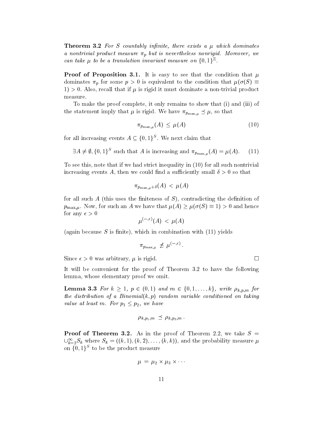**Theorem 3.2** For S countably infinite, there exists a  $\mu$  which dominates a nontrivial product measure  $\pi_p$  but is nevertheless nonrigid. Moreover, we can take  $\mu$  to be a translation invariant measure on  $\{0,1\}^{\mathbb{Z}}$ .

**Proof of Proposition 3.1.** It is easy to see that the condition that  $\mu$ dominates  $\pi_p$  for some  $p > 0$  is equivalent to the condition that  $\mu(\sigma(S) \equiv$ 1) > 0. Also, recall that if  $\mu$  is rigid it must dominate a non-trivial product measure.

To make the proof complete, it only remains to show that (i) and (iii) of the statement imply that  $\mu$  is rigid. We have  $\pi_{p_{\max,\mu}} \preceq \mu$ , so that

$$
\pi_{p_{\max,\mu}}(A) \le \mu(A) \tag{10}
$$

for all increasing events  $A \subseteq \{0,1\}^S$ . We next claim that

$$
\exists A \neq \emptyset, \{0,1\}^S \text{ such that } A \text{ is increasing and } \pi_{p_{\max,\mu}}(A) = \mu(A). \tag{11}
$$

To see this, note that if we had strict inequality in  $(10)$  for all such nontrivial increasing events A, then we could find a sufficiently small  $\delta > 0$  so that

$$
\pi_{p_{\max,\mu}+\delta}(A)~<~\mu(A)
$$

for all such  $A$  (this uses the finiteness of  $S$ ), contradicting the definition of  $p_{\max,\mu}$ . Now, for such an A we have that  $\mu(A) \geq \mu(\sigma(S) \equiv 1) > 0$  and hence for any  $\epsilon > 0$ 

$$
\mu^{(-,\epsilon)}(A)\,<\,\mu(A)
$$

(again because  $S$  is finite), which in combination with  $(11)$  yields

$$
\pi_{p_{\max,\mu}} \not\preceq \mu^{(-,\epsilon)}
$$

Since  $\epsilon > 0$  was arbitrary,  $\mu$  is rigid.

It will be convenient for the proof of Theorem 3.2 to have the following lemma, whose elementary proof we omit.

**Lemma 3.3** For  $k \ge 1$ ,  $p \in (0,1)$  and  $m \in \{0,1,\ldots,k\}$ , write  $\rho_{k,p,m}$  for the distribution of a Binomial $(k, p)$  random variable conditioned on taking value at least m. For  $p_1 \leq p_2$ , we have

$$
\rho_{k,p_1,m} \ \preceq \ \rho_{k,p_2,m} \ .
$$

**Proof of Theorem 3.2.** As in the proof of Theorem 2.2, we take  $S =$  $\bigcup_{k=2}^{\infty} S_k$  where  $S_k = ((k,1),(k,2),\ldots,(k,k))$ , and the probability measure  $\mu$ on  $\{0,1\}^S$  to be the product measure

$$
\mu = \mu_2 \times \mu_3 \times \cdots
$$

 $\Box$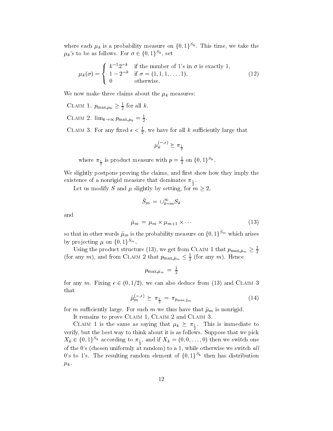where each  $\mu_k$  is a probability measure on  $\{0,1\}^{S_k}$ . This time, we take the  $\mu_k$ 's to be as follows. For  $\sigma \in \{0,1\}^{S_k}$ , set

$$
\mu_k(\sigma) = \begin{cases} k^{-1} 2^{-k} & \text{if the number of 1's in } \sigma \text{ is exactly 1,} \\ 1 - 2^{-k} & \text{if } \sigma = (1, 1, 1, \dots, 1), \\ 0 & \text{otherwise.} \end{cases}
$$
(12)

We now make three claims about the  $\mu_k$  measures:

CLAIM 1.  $p_{\max,\mu_k} \geq \frac{1}{2}$  for all k.

CLAIM 2.  $\lim_{k\to\infty} p_{\max,\mu_k} = \frac{1}{2}$ .

CLAIM 3. For any fixed  $\epsilon < \frac{1}{2}$ , we have for all k sufficiently large that

 $\mu_k^{(-,\epsilon)} \succeq \pi_{\frac{1}{2}}$ 

where  $\pi_{\frac{1}{2}}$  is product measure with  $p = \frac{1}{2}$  on  $\{0, 1\}^{S_k}$ .

We slightly postpone proving the claims, and first show how they imply the existence of a nonrigid measure that dominates  $\pi_{\frac{1}{2}}$ .

Let us modify S and  $\mu$  slightly by setting, for  $m \geq 2$ ,

$$
\tilde{S}_m\,=\,\cup_{k=m}^\infty S_k
$$

and

$$
\tilde{\mu}_m = \mu_m \times \mu_{m+1} \times \cdots \tag{13}
$$

so that in other words  $\tilde{\mu}_m$  is the probability measure on  $\{0, 1\}^{\tilde{S}_m}$  which arises by projecting  $\mu$  on  $\{0,1\}^{S_m}$ .

Using the product structure (13), we get from CLAIM 1 that  $p_{\text{max},\tilde{\mu}_m} \geq \frac{1}{2}$ (for any m), and from CLAIM 2 that  $p_{\max,\tilde{\mu}_m} \leq \frac{1}{2}$  (for any m). Hence

$$
p_{\max,\tilde{\mu}_m} = \frac{1}{2}
$$

for any m. Fixing  $\epsilon \in (0, 1/2)$ , we can also deduce from (13) and CLAIM 3 that

$$
\tilde{\mu}_m^{(-,\epsilon)} \succeq \pi_{\frac{1}{2}} = \pi_{p_{\max,\tilde{\mu}_m}} \tag{14}
$$

for m sufficiently large. For such m we thus have that  $\tilde{\mu}_m$  is nonrigid.

It remains to prove CLAIM 1, CLAIM 2 and CLAIM 3.

CLAIM 1 is the same as saying that  $\mu_k \succeq \pi_{\frac{1}{2}}$ . This is immediate to verify, but the best way to think about it is as follows. Suppose that we pick  $X_k \in \{0,1\}^{S_k}$  according to  $\pi_{\frac{1}{2}}$ , and if  $X_k = (0,0,\ldots,0)$  then we switch one of the 0's (chosen uniformly at random) to a 1, while otherwise we switch all 0's to 1's. The resulting random element of  $\{0,1\}^{S_k}$  then has distribution  $\mu_k$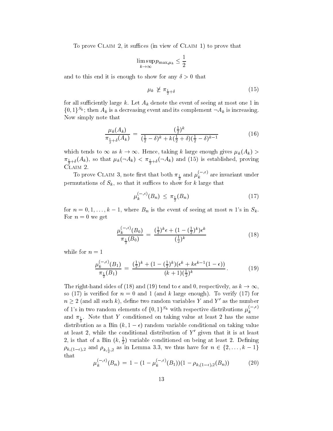To prove CLAIM 2, it suffices (in view of CLAIM 1) to prove that

$$
\limsup_{k \to \infty} p_{\max,\mu_k} \le \frac{1}{2}
$$

and to this end it is enough to show for any  $\delta > 0$  that

$$
\mu_k \not\geq \pi_{\frac{1}{2} + \delta} \tag{15}
$$

for all sufficiently large k. Let  $A_k$  denote the event of seeing at most one 1 in  $\{0,1\}^{S_k}$ ; then  $A_k$  is a decreasing event and its complement  $\neg A_k$  is increasing. Now simply note that

$$
\frac{\mu_k(A_k)}{\pi_{\frac{1}{2}+\delta}(A_k)} = \frac{(\frac{1}{2})^k}{(\frac{1}{2}-\delta)^k + k(\frac{1}{2}+\delta)(\frac{1}{2}-\delta)^{k-1}}
$$
(16)

which tends to  $\infty$  as  $k \to \infty$ . Hence, taking k large enough gives  $\mu_k(A_k)$  $\pi_{\frac{1}{2}+\delta}(A_k)$ , so that  $\mu_k(\neg A_k) < \pi_{\frac{1}{2}+\delta}(\neg A_k)$  and (15) is established, proving CLAIM 2.

To prove CLAIM 3, note first that both  $\pi_{\frac{1}{2}}$  and  $\mu_k^{(-,\epsilon)}$  are invariant under permutations of  $S_k$ , so that it suffices to show for k large that

$$
\mu_k^{(-,\epsilon)}(B_n) \le \pi_{\frac{1}{2}}(B_n) \tag{17}
$$

for  $n = 0, 1, ..., k - 1$ , where  $B_n$  is the event of seeing at most n 1's in  $S_k$ . For  $n=0$  we get

$$
\frac{\mu_k^{(-,\epsilon)}(B_0)}{\pi_{\frac{1}{2}}(B_0)} = \frac{(\frac{1}{2})^k \epsilon + (1 - (\frac{1}{2})^k) \epsilon^k}{(\frac{1}{2})^k}
$$
\n(18)

while for  $n=1$ 

$$
\frac{\mu_k^{(-,\epsilon)}(B_1)}{\pi_{\frac{1}{2}}(B_1)} = \frac{(\frac{1}{2})^k + (1 - (\frac{1}{2})^k)(\epsilon^k + k\epsilon^{k-1}(1-\epsilon))}{(k+1)(\frac{1}{2})^k}.
$$
(19)

The right-hand sides of (18) and (19) tend to  $\epsilon$  and 0, respectively, as  $k \to \infty$ . so (17) is verified for  $n = 0$  and 1 (and k large enough). To verify (17) for  $n \geq 2$  (and all such k), define two random variables Y and Y' as the number of 1's in two random elements of  $\{0,1\}^{S_k}$  with respective distributions  $\mu_k^{(-,\epsilon)}$ and  $\pi_{\frac{1}{2}}$ . Note that Y conditioned on taking value at least 2 has the same distribution as a Bin  $(k, 1 - \epsilon)$  random variable conditional on taking value at least 2, while the conditional distribution of  $Y'$  given that it is at least 2, is that of a Bin  $(k, \frac{1}{2})$  variable conditioned on being at least 2. Defining  $\rho_{k,(1-\epsilon),2}$  and  $\rho_{k,\frac{1}{2},2}$  as in Lemma 3.3, we thus have for  $n \in \{2,\ldots,k-1\}$ that

$$
\mu_k^{(-,\epsilon)}(B_n) = 1 - (1 - \mu_k^{(-,\epsilon)}(B_1))(1 - \rho_{k,(1-\epsilon),2}(B_n)) \tag{20}
$$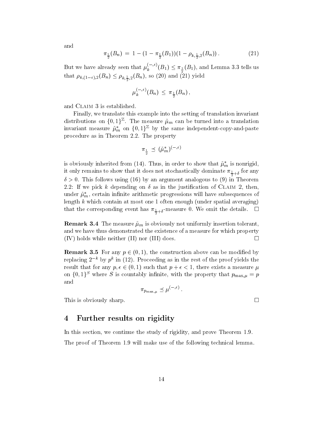and

$$
\pi_{\frac{1}{2}}(B_n) = 1 - (1 - \pi_{\frac{1}{2}}(B_1))(1 - \rho_{k, \frac{1}{2}, 2}(B_n)). \tag{21}
$$

But we have already seen that  $\mu_k^{(-, \epsilon)}(B_1) \leq \pi_{\frac{1}{2}}(B_1)$ , and Lemma 3.3 tells us that  $\rho_{k,(1-\epsilon),2}(B_n) \leq \rho_{k,\frac{1}{2},2}(B_n)$ , so (20) and (21) yield

$$
\mu_k^{(-,\epsilon)}(B_n) \leq \pi_{\frac{1}{2}}(B_n)\,,
$$

and CLAIM 3 is established.

Finally, we translate this example into the setting of translation invariant distributions on  $\{0,1\}^{\mathbb{Z}}$ . The measure  $\tilde{\mu}_m$  can be turned into a translation invariant measure  $\tilde{\mu}_m^*$  on  $\{0,1\}^{\mathbb{Z}}$  by the same independent-copy-and-paste procedure as in Theorem 2.2. The property

$$
\pi_{\frac{1}{2}} \preceq (\tilde{\mu}_m^*)^{(-,\epsilon)}
$$

is obviously inherited from (14). Thus, in order to show that  $\tilde{\mu}_m^*$  is nonrigid. it only remains to show that it does not stochastically dominate  $\pi_{\frac{1}{2}+\delta}$  for any  $\delta > 0$ . This follows using (16) by an argument analogous to (9) in Theorem 2.2: If we pick k depending on  $\delta$  as in the justification of CLAIM 2, then. under  $\tilde{\mu}_m^*$ , certain infinite arithmetic progressions will have subsequences of length  $k$  which contain at most one 1 often enough (under spatial averaging) that the corresponding event has  $\pi_{\frac{1}{2}+\delta}$ -measure 0. We omit the details.  $\Box$ 

**Remark 3.4** The measure  $\tilde{\mu}_m$  is obviously not uniformly insertion tolerant, and we have thus demonstrated the existence of a measure for which property  $(IV)$  holds while neither  $(II)$  nor  $(III)$  does.  $\Box$ 

**Remark 3.5** For any  $p \in (0, 1)$ , the construction above can be modified by replacing  $2^{-k}$  by  $p^{k}$  in (12). Proceeding as in the rest of the proof yields the result that for any  $p, \epsilon \in (0, 1)$  such that  $p + \epsilon < 1$ , there exists a measure  $\mu$ on  $\{0,1\}^S$  where S is countably infinite, with the property that  $p_{\max,\mu}=p$ and

$$
\pi_{p_{\max,u}} \preceq \mu^{(-,\epsilon)}.
$$

This is obviously sharp.

#### 4 Further results on rigidity

In this section, we continue the study of rigidity, and prove Theorem 1.9. The proof of Theorem 1.9 will make use of the following technical lemma.

 $\Box$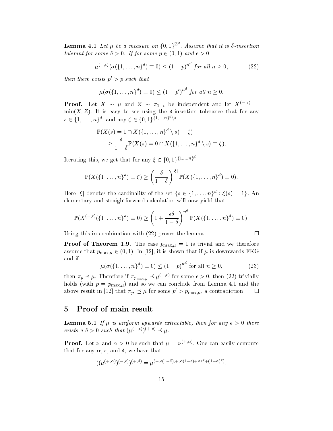**Lemma 4.1** Let  $\mu$  be a measure on  $\{0,1\}^{\mathbb{Z}^d}$ . Assume that it is  $\delta$ -insertion tolerant for some  $\delta > 0$ . If for some  $p \in (0, 1)$  and  $\epsilon > 0$ 

$$
\mu^{(-, \epsilon)}(\sigma(\{1, \dots, n\}^d) \equiv 0) \le (1 - p)^{n^d} \text{ for all } n \ge 0,
$$
 (22)

then there exists  $p' > p$  such that

$$
\mu(\sigma(\{1,\ldots,n\}^d)\equiv 0) \le (1-p')^{n^d} \text{ for all } n \ge 0.
$$

**Proof.** Let  $X \sim \mu$  and  $Z \sim \pi_{1-\epsilon}$  be independent and let  $X^{(-,\epsilon)}$  =  $\min(X, Z)$ . It is easy to see using the  $\delta$ -insertion tolerance that for any  $s \in \{1, \ldots, n\}^d$ , and any  $\zeta \in \{0, 1\}^{\{1, \ldots, n\}^d \setminus s}$ 

$$
\mathbb{P}(X(s) = 1 \cap X(\{1, ..., n\}^d \setminus s) \equiv \zeta)
$$
  
\n
$$
\geq \frac{\delta}{1 - \delta} \mathbb{P}(X(s) = 0 \cap X(\{1, ..., n\}^d \setminus s) \equiv \zeta).
$$

Iterating this, we get that for any  $\xi \in \{0,1\}^{\{1,\ldots,n\}^d}$ 

$$
\mathbb{P}(X(\{1,\ldots,n\}^d)\equiv \xi) \ge \left(\frac{\delta}{1-\delta}\right)^{|\xi|} \mathbb{P}(X(\{1,\ldots,n\}^d)\equiv 0).
$$

Here  $|\xi|$  denotes the cardinality of the set  $\{s \in \{1, ..., n\}^d : \xi(s) = 1\}$ . An elementary and straightforward calculation will now yield that

$$
\mathbb{P}(X^{(-,\epsilon)}(\{1,\ldots,n\}^d) \equiv 0) \ge \left(1 + \frac{\epsilon \delta}{1-\delta}\right)^{n^d} \mathbb{P}(X(\{1,\ldots,n\}^d) \equiv 0).
$$

Using this in combination with  $(22)$  proves the lemma.

**Proof of Theorem 1.9.** The case  $p_{\text{max},\mu} = 1$  is trivial and we therefore assume that  $p_{\max,\mu} \in (0,1)$ . In [12], it is shown that if  $\mu$  is downwards FKG and if

$$
\mu(\sigma(\{1,\dots,n\}^d) \equiv 0) \le (1-p)^{n^d} \text{ for all } n \ge 0,
$$
 (23)

then  $\pi_p \preceq \mu$ . Therefore if  $\pi_{p_{\max,\mu}} \preceq \mu^{(-,\epsilon)}$  for some  $\epsilon > 0$ , then (22) trivially holds (with  $p = p_{\max,\mu}$ ) and so we can conclude from Lemma 4.1 and the above result in [12] that  $\pi_{p'} \preceq \mu$  for some  $p' > p_{\max,\mu}$ , a contradiction.  $\Box$ 

#### **Proof of main result** 5

**Lemma 5.1** If  $\mu$  is uniform upwards extractable, then for any  $\epsilon > 0$  there exists a  $\delta > 0$  such that  $(\mu^{(-,\epsilon)})^{(+,\delta)} \preceq \mu$ .

**Proof.** Let  $\nu$  and  $\alpha > 0$  be such that  $\mu = \nu^{(+,\alpha)}$ . One can easily compute that for any  $\alpha$ ,  $\epsilon$ , and  $\delta$ , we have that

$$
((\mu^{(+,\alpha)})^{(-,\epsilon)})^{(+,\delta)}=\mu^{(-,\epsilon(1-\delta),+,\alpha(1-\epsilon)+\alpha\epsilon\delta+(1-\alpha)\delta)}.
$$

 $\Box$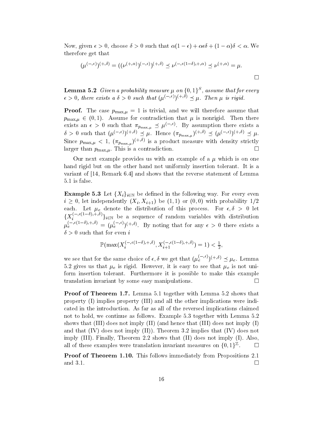Now, given  $\epsilon > 0$ , choose  $\delta > 0$  such that  $\alpha(1 - \epsilon) + \alpha \epsilon \delta + (1 - \alpha)\delta < \alpha$ . We therefore get that

$$
(\mu^{(-,\epsilon)})^{(+,\delta)} = ((\nu^{(+,\alpha)})^{(-,\epsilon)})^{(+,\delta)} \preceq \nu^{(-,\epsilon(1-\delta),+,\alpha)} \preceq \nu^{(+,\alpha)} = \mu.
$$

 $\Box$ 

**Lemma 5.2** Given a probability measure  $\mu$  on  $\{0,1\}^S$ , assume that for every  $\epsilon > 0$ , there exists a  $\delta > 0$  such that  $(\mu^{(-,\epsilon)})^{(+,\delta)} \prec \mu$ . Then  $\mu$  is rigid.

**Proof.** The case  $p_{\max,\mu} = 1$  is trivial, and we will therefore assume that  $p_{\max,\mu} \in (0,1)$ . Assume for contradiction that  $\mu$  is nonrigid. Then there exists an  $\epsilon > 0$  such that  $\pi_{p_{\max,\mu}} \preceq \mu^{(-,\epsilon)}$ . By assumption there exists a<br>  $\delta > 0$  such that  $(\mu^{(-,\epsilon)})^{(+,\delta)} \preceq \mu$ . Hence  $(\pi_{p_{\max,\mu}})^{(+,\delta)} \preceq (\mu^{(-,\epsilon)})^{(+,\delta)} \preceq \mu$ . Since  $p_{\max,\mu} < 1$ ,  $(\pi_{p_{\max,\mu}})^{(+,\delta)}$  is a product measure with density strictly larger than  $p_{\max,\mu}$ . This is a contradiction.  $\Box$ 

Our next example provides us with an example of a  $\mu$  which is on one hand rigid but on the other hand not uniformly insertion tolerant. It is a variant of  $[14,$  Remark 6.4 and shows that the reverse statement of Lemma 5.1 is false.

**Example 5.3** Let  $\{X_i\}_{i\in\mathbb{N}}$  be defined in the following way. For every even  $i \geq 0$ , let independently  $(X_i, X_{i+1})$  be  $(1, 1)$  or  $(0, 0)$  with probability  $1/2$ each. Let  $\mu_e$  denote the distribution of this process. For  $\epsilon, \delta > 0$  let  $\{X_i^{(-,\epsilon(1-\delta),+, \delta)}\}_{i \in \mathbb{N}}$  be a sequence of random variables with distribution  $\mu_e^{(-,\epsilon(1-\delta),+, \delta)} = (\mu_e^{(-,\epsilon)})^{(+,\delta)}$ . By noting that for any  $\epsilon > 0$  there exists a  $\delta > 0$  such that for even i

$$
\mathbb{P}(\max(X_i^{(-,\epsilon(1-\delta),+, \delta)},X_{i+1}^{(-,\epsilon(1-\delta),+, \delta)})=1)<\tfrac{1}{2}
$$

we see that for the same choice of  $\epsilon, \delta$  we get that  $(\mu_e^{(-,\epsilon)})^{(+,\delta)} \preceq \mu_e$ . Lemma 5.2 gives us that  $\mu_e$  is rigid. However, it is easy to see that  $\mu_e$  is not uniform insertion tolerant. Furthermore it is possible to make this example translation invariant by some easy manipulations.  $\Box$ 

**Proof of Theorem 1.7.** Lemma 5.1 together with Lemma 5.2 shows that property  $(I)$  implies property  $(III)$  and all the other implications were indicated in the introduction. As far as all of the reversed implications claimed not to hold, we continue as follows. Example 5.3 together with Lemma 5.2 shows that  $(III)$  does not imply  $(II)$  (and hence that  $(III)$  does not imply  $(I)$ ) and that  $(IV)$  does not imply  $(II)$ ). Theorem 3.2 implies that  $(IV)$  does not imply (III). Finally, Theorem 2.2 shows that (II) does not imply (I). Also, all of these examples were translation invariant measures on  $\{0,1\}^{\mathbb{Z}}$ .  $\Box$ 

**Proof of Theorem 1.10.** This follows immediately from Propositions 2.1 and 3.1.  $\Box$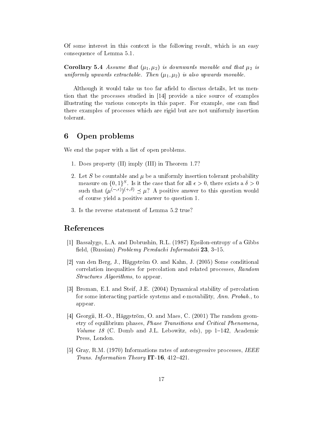Of some interest in this context is the following result, which is an easy consequence of Lemma 5.1.

**Corollary 5.4** Assume that  $(\mu_1, \mu_2)$  is downwards movable and that  $\mu_2$  is uniformly upwards extractable. Then  $(\mu_1, \mu_2)$  is also upwards movable.

Although it would take us too far afield to discuss details, let us mention that the processes studied in [14] provide a nice source of examples illustrating the various concepts in this paper. For example, one can find there examples of processes which are rigid but are not uniformly insertion tolerant.

#### Open problems 6

We end the paper with a list of open problems.

- 1. Does property (II) imply (III) in Theorem 1.7?
- 2. Let S be countable and  $\mu$  be a uniformly insertion tolerant probability measure on  $\{0,1\}^S$ . Is it the case that for all  $\epsilon > 0$ , there exists a  $\delta > 0$ such that  $(\mu^{(-,\epsilon)})^{(+,\delta)} \preceq \mu$ ? A positive answer to this question would of course yield a positive answer to question 1.
- 3. Is the reverse statement of Lemma 5.2 true?

### References

- [1] Bassalygo, L.A. and Dobrushin, R.L. (1987) Epsilon-entropy of a Gibbs field, (Russian) *Problemy Peredachi Informatsii* 23, 3–15.
- [2] van den Berg, J., Häggström O. and Kahn, J. (2005) Some conditional correlation inequalities for percolation and related processes, Random *Structures Algorithms*, to appear.
- [3] Broman, E.I. and Steif, J.E. (2004) Dynamical stability of percolation for some interacting particle systems and  $\epsilon$ -movability, Ann. Probab., to appear.
- [4] Georgii, H.-O., Häggström, O. and Maes, C. (2001) The random geometry of equilibrium phases, Phase Transitions and Critical Phenomena, *Volume 18* (C. Domb and J.L. Lebowitz, eds), pp  $1-142$ , Academic Press, London.
- [5] Gray, R.M. (1970) Informations rates of autoregressive processes, IEEE *Trans. Information Theory* IT-16, 412-421.